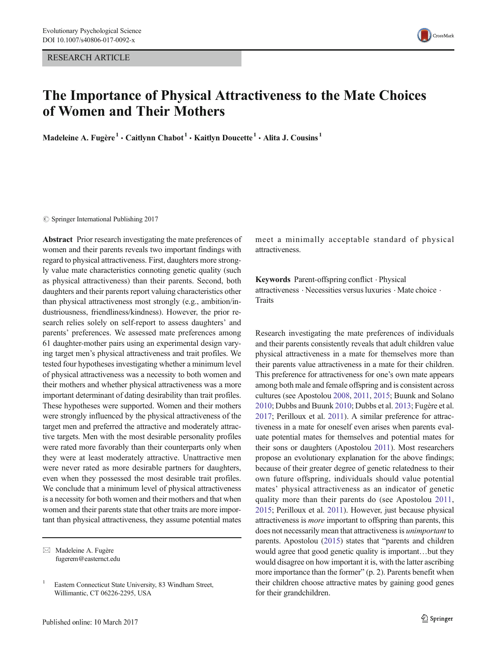RESEARCH ARTICLE



# The Importance of Physical Attractiveness to the Mate Choices of Women and Their Mothers

Madeleine A. Fugère<sup>1</sup> • Caitlynn Chabot<sup>1</sup> • Kaitlyn Doucette<sup>1</sup> • Alita J. Cousins<sup>1</sup>

 $\oslash$  Springer International Publishing 2017

Abstract Prior research investigating the mate preferences of women and their parents reveals two important findings with regard to physical attractiveness. First, daughters more strongly value mate characteristics connoting genetic quality (such as physical attractiveness) than their parents. Second, both daughters and their parents report valuing characteristics other than physical attractiveness most strongly (e.g., ambition/industriousness, friendliness/kindness). However, the prior research relies solely on self-report to assess daughters' and parents' preferences. We assessed mate preferences among 61 daughter-mother pairs using an experimental design varying target men's physical attractiveness and trait profiles. We tested four hypotheses investigating whether a minimum level of physical attractiveness was a necessity to both women and their mothers and whether physical attractiveness was a more important determinant of dating desirability than trait profiles. These hypotheses were supported. Women and their mothers were strongly influenced by the physical attractiveness of the target men and preferred the attractive and moderately attractive targets. Men with the most desirable personality profiles were rated more favorably than their counterparts only when they were at least moderately attractive. Unattractive men were never rated as more desirable partners for daughters, even when they possessed the most desirable trait profiles. We conclude that a minimum level of physical attractiveness is a necessity for both women and their mothers and that when women and their parents state that other traits are more important than physical attractiveness, they assume potential mates

meet a minimally acceptable standard of physical attractiveness.

Keywords Parent-offspring conflict . Physical attractiveness . Necessities versus luxuries . Mate choice . **Traits** 

Research investigating the mate preferences of individuals and their parents consistently reveals that adult children value physical attractiveness in a mate for themselves more than their parents value attractiveness in a mate for their children. This preference for attractiveness for one's own mate appears among both male and female offspring and is consistent across cultures (see Apostolou [2008](#page-8-0), [2011](#page-8-0), [2015](#page-8-0); Buunk and Solano [2010;](#page-8-0) Dubbs and Buunk [2010](#page-8-0); Dubbs et al. [2013;](#page-8-0) Fugère et al. [2017;](#page-9-0) Perilloux et al. [2011](#page-9-0)). A similar preference for attractiveness in a mate for oneself even arises when parents evaluate potential mates for themselves and potential mates for their sons or daughters (Apostolou [2011](#page-8-0)). Most researchers propose an evolutionary explanation for the above findings; because of their greater degree of genetic relatedness to their own future offspring, individuals should value potential mates' physical attractiveness as an indicator of genetic quality more than their parents do (see Apostolou [2011,](#page-8-0) [2015;](#page-8-0) Perilloux et al. [2011\)](#page-9-0). However, just because physical attractiveness is more important to offspring than parents, this does not necessarily mean that attractiveness is unimportant to parents. Apostolou [\(2015\)](#page-8-0) states that "parents and children would agree that good genetic quality is important…but they would disagree on how important it is, with the latter ascribing more importance than the former" (p. 2). Parents benefit when their children choose attractive mates by gaining good genes for their grandchildren.

 $\boxtimes$  Madeleine A. Fugère fugerem@easternct.edu

<sup>&</sup>lt;sup>1</sup> Eastern Connecticut State University, 83 Windham Street, Willimantic, CT 06226-2295, USA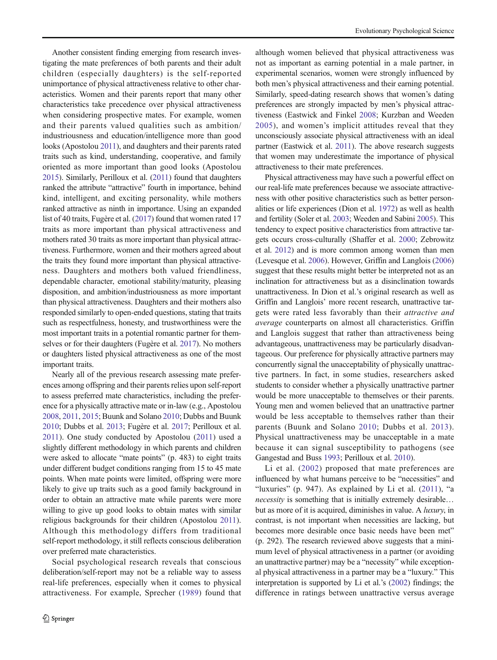Another consistent finding emerging from research investigating the mate preferences of both parents and their adult children (especially daughters) is the self-reported unimportance of physical attractiveness relative to other characteristics. Women and their parents report that many other characteristics take precedence over physical attractiveness when considering prospective mates. For example, women and their parents valued qualities such as ambition/ industriousness and education/intelligence more than good looks (Apostolou [2011\)](#page-8-0), and daughters and their parents rated traits such as kind, understanding, cooperative, and family oriented as more important than good looks (Apostolou [2015\)](#page-8-0). Similarly, Perilloux et al. [\(2011](#page-9-0)) found that daughters ranked the attribute "attractive" fourth in importance, behind kind, intelligent, and exciting personality, while mothers ranked attractive as ninth in importance. Using an expanded list of 40 traits, Fugère et al. ([2017](#page-9-0)) found that women rated 17 traits as more important than physical attractiveness and mothers rated 30 traits as more important than physical attractiveness. Furthermore, women and their mothers agreed about the traits they found more important than physical attractiveness. Daughters and mothers both valued friendliness, dependable character, emotional stability/maturity, pleasing disposition, and ambition/industriousness as more important than physical attractiveness. Daughters and their mothers also responded similarly to open-ended questions, stating that traits such as respectfulness, honesty, and trustworthiness were the most important traits in a potential romantic partner for themselves or for their daughters (Fugère et al. [2017](#page-9-0)). No mothers or daughters listed physical attractiveness as one of the most important traits.

Nearly all of the previous research assessing mate preferences among offspring and their parents relies upon self-report to assess preferred mate characteristics, including the preference for a physically attractive mate or in-law (e.g., Apostolou [2008,](#page-8-0) [2011](#page-8-0), [2015](#page-8-0); Buunk and Solano [2010](#page-8-0); Dubbs and Buunk [2010;](#page-8-0) Dubbs et al. [2013](#page-8-0); Fugère et al. [2017](#page-9-0); Perilloux et al. [2011\)](#page-9-0). One study conducted by Apostolou [\(2011](#page-8-0)) used a slightly different methodology in which parents and children were asked to allocate "mate points" (p. 483) to eight traits under different budget conditions ranging from 15 to 45 mate points. When mate points were limited, offspring were more likely to give up traits such as a good family background in order to obtain an attractive mate while parents were more willing to give up good looks to obtain mates with similar religious backgrounds for their children (Apostolou [2011](#page-8-0)). Although this methodology differs from traditional self-report methodology, it still reflects conscious deliberation over preferred mate characteristics.

Social psychological research reveals that conscious deliberation/self-report may not be a reliable way to assess real-life preferences, especially when it comes to physical attractiveness. For example, Sprecher ([1989](#page-9-0)) found that

although women believed that physical attractiveness was not as important as earning potential in a male partner, in experimental scenarios, women were strongly influenced by both men's physical attractiveness and their earning potential. Similarly, speed-dating research shows that women's dating preferences are strongly impacted by men's physical attractiveness (Eastwick and Finkel [2008;](#page-9-0) Kurzban and Weeden [2005](#page-9-0)), and women's implicit attitudes reveal that they unconsciously associate physical attractiveness with an ideal partner (Eastwick et al. [2011](#page-9-0)). The above research suggests that women may underestimate the importance of physical attractiveness to their mate preferences.

Physical attractiveness may have such a powerful effect on our real-life mate preferences because we associate attractiveness with other positive characteristics such as better personalities or life experiences (Dion et al. [1972](#page-8-0)) as well as health and fertility (Soler et al. [2003;](#page-9-0) Weeden and Sabini [2005](#page-9-0)). This tendency to expect positive characteristics from attractive targets occurs cross-culturally (Shaffer et al. [2000;](#page-9-0) Zebrowitz et al. [2012](#page-9-0)) and is more common among women than men (Levesque et al. [2006](#page-9-0)). However, Griffin and Langlois [\(2006](#page-9-0)) suggest that these results might better be interpreted not as an inclination for attractiveness but as a disinclination towards unattractiveness. In Dion et al.'s original research as well as Griffin and Langlois' more recent research, unattractive targets were rated less favorably than their attractive and average counterparts on almost all characteristics. Griffin and Langlois suggest that rather than attractiveness being advantageous, unattractiveness may be particularly disadvantageous. Our preference for physically attractive partners may concurrently signal the unacceptability of physically unattractive partners. In fact, in some studies, researchers asked students to consider whether a physically unattractive partner would be more unacceptable to themselves or their parents. Young men and women believed that an unattractive partner would be less acceptable to themselves rather than their parents (Buunk and Solano [2010](#page-8-0); Dubbs et al. [2013](#page-8-0)). Physical unattractiveness may be unacceptable in a mate because it can signal susceptibility to pathogens (see Gangestad and Buss [1993;](#page-9-0) Perilloux et al. [2010](#page-9-0)).

Li et al. ([2002\)](#page-9-0) proposed that mate preferences are influenced by what humans perceive to be "necessities" and "luxuries" (p. 947). As explained by Li et al. [\(2011\)](#page-9-0), "a necessity is something that is initially extremely desirable... but as more of it is acquired, diminishes in value. A luxury, in contrast, is not important when necessities are lacking, but becomes more desirable once basic needs have been met" (p. 292). The research reviewed above suggests that a minimum level of physical attractiveness in a partner (or avoiding an unattractive partner) may be a "necessity" while exceptional physical attractiveness in a partner may be a "luxury." This interpretation is supported by Li et al.'s [\(2002\)](#page-9-0) findings; the difference in ratings between unattractive versus average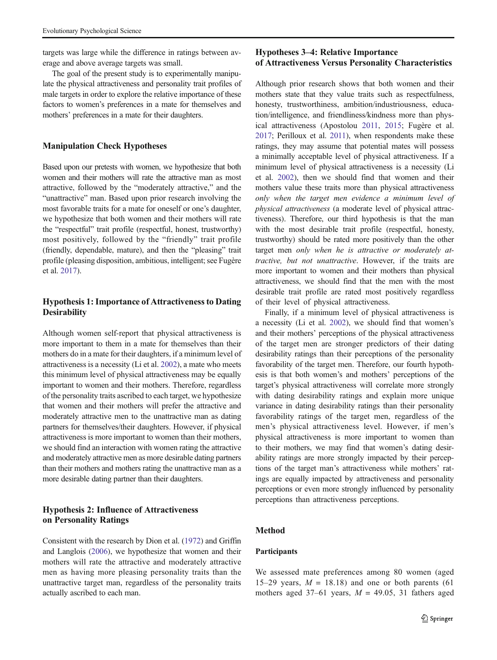targets was large while the difference in ratings between average and above average targets was small.

The goal of the present study is to experimentally manipulate the physical attractiveness and personality trait profiles of male targets in order to explore the relative importance of these factors to women's preferences in a mate for themselves and mothers' preferences in a mate for their daughters.

### Manipulation Check Hypotheses

Based upon our pretests with women, we hypothesize that both women and their mothers will rate the attractive man as most attractive, followed by the "moderately attractive," and the "unattractive" man. Based upon prior research involving the most favorable traits for a mate for oneself or one's daughter, we hypothesize that both women and their mothers will rate the "respectful" trait profile (respectful, honest, trustworthy) most positively, followed by the "friendly" trait profile (friendly, dependable, mature), and then the "pleasing" trait profile (pleasing disposition, ambitious, intelligent; see Fugère et al. [2017](#page-9-0)).

# Hypothesis 1: Importance of Attractiveness to Dating **Desirability**

Although women self-report that physical attractiveness is more important to them in a mate for themselves than their mothers do in a mate for their daughters, if a minimum level of attractiveness is a necessity (Li et al. [2002](#page-9-0)), a mate who meets this minimum level of physical attractiveness may be equally important to women and their mothers. Therefore, regardless of the personality traits ascribed to each target, we hypothesize that women and their mothers will prefer the attractive and moderately attractive men to the unattractive man as dating partners for themselves/their daughters. However, if physical attractiveness is more important to women than their mothers, we should find an interaction with women rating the attractive and moderately attractive men as more desirable dating partners than their mothers and mothers rating the unattractive man as a more desirable dating partner than their daughters.

# Hypothesis 2: Influence of Attractiveness on Personality Ratings

Consistent with the research by Dion et al. ([1972](#page-8-0)) and Griffin and Langlois [\(2006](#page-9-0)), we hypothesize that women and their mothers will rate the attractive and moderately attractive men as having more pleasing personality traits than the unattractive target man, regardless of the personality traits actually ascribed to each man.

# Hypotheses 3–4: Relative Importance of Attractiveness Versus Personality Characteristics

Although prior research shows that both women and their mothers state that they value traits such as respectfulness, honesty, trustworthiness, ambition/industriousness, education/intelligence, and friendliness/kindness more than physical attractiveness (Apostolou [2011](#page-8-0), [2015](#page-8-0); Fugère et al. [2017;](#page-9-0) Perilloux et al. [2011\)](#page-9-0), when respondents make these ratings, they may assume that potential mates will possess a minimally acceptable level of physical attractiveness. If a minimum level of physical attractiveness is a necessity (Li et al. [2002](#page-9-0)), then we should find that women and their mothers value these traits more than physical attractiveness only when the target men evidence a minimum level of physical attractiveness (a moderate level of physical attractiveness). Therefore, our third hypothesis is that the man with the most desirable trait profile (respectful, honesty, trustworthy) should be rated more positively than the other target men only when he is attractive or moderately attractive, but not unattractive. However, if the traits are more important to women and their mothers than physical attractiveness, we should find that the men with the most desirable trait profile are rated most positively regardless of their level of physical attractiveness.

Finally, if a minimum level of physical attractiveness is a necessity (Li et al. [2002\)](#page-9-0), we should find that women's and their mothers' perceptions of the physical attractiveness of the target men are stronger predictors of their dating desirability ratings than their perceptions of the personality favorability of the target men. Therefore, our fourth hypothesis is that both women's and mothers' perceptions of the target's physical attractiveness will correlate more strongly with dating desirability ratings and explain more unique variance in dating desirability ratings than their personality favorability ratings of the target men, regardless of the men's physical attractiveness level. However, if men's physical attractiveness is more important to women than to their mothers, we may find that women's dating desirability ratings are more strongly impacted by their perceptions of the target man's attractiveness while mothers' ratings are equally impacted by attractiveness and personality perceptions or even more strongly influenced by personality perceptions than attractiveness perceptions.

# Method

#### Participants

We assessed mate preferences among 80 women (aged 15–29 years,  $M = 18.18$ ) and one or both parents (61 mothers aged 37–61 years,  $M = 49.05$ , 31 fathers aged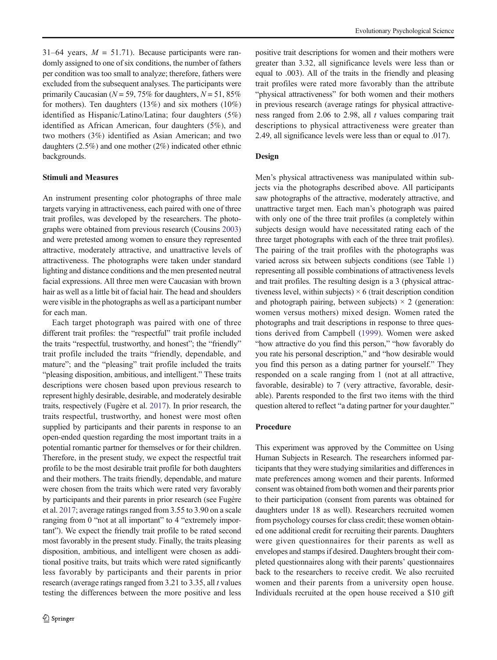31–64 years,  $M = 51.71$ . Because participants were randomly assigned to one of six conditions, the number of fathers per condition was too small to analyze; therefore, fathers were excluded from the subsequent analyses. The participants were primarily Caucasian ( $N = 59, 75\%$  for daughters,  $N = 51, 85\%$ for mothers). Ten daughters (13%) and six mothers (10%) identified as Hispanic/Latino/Latina; four daughters (5%) identified as African American, four daughters (5%), and two mothers (3%) identified as Asian American; and two daughters (2.5%) and one mother (2%) indicated other ethnic backgrounds.

### Stimuli and Measures

An instrument presenting color photographs of three male targets varying in attractiveness, each paired with one of three trait profiles, was developed by the researchers. The photographs were obtained from previous research (Cousins [2003\)](#page-8-0) and were pretested among women to ensure they represented attractive, moderately attractive, and unattractive levels of attractiveness. The photographs were taken under standard lighting and distance conditions and the men presented neutral facial expressions. All three men were Caucasian with brown hair as well as a little bit of facial hair. The head and shoulders were visible in the photographs as well as a participant number for each man.

Each target photograph was paired with one of three different trait profiles: the "respectful" trait profile included the traits "respectful, trustworthy, and honest"; the "friendly" trait profile included the traits "friendly, dependable, and mature"; and the "pleasing" trait profile included the traits "pleasing disposition, ambitious, and intelligent." These traits descriptions were chosen based upon previous research to represent highly desirable, desirable, and moderately desirable traits, respectively (Fugère et al. [2017](#page-9-0)). In prior research, the traits respectful, trustworthy, and honest were most often supplied by participants and their parents in response to an open-ended question regarding the most important traits in a potential romantic partner for themselves or for their children. Therefore, in the present study, we expect the respectful trait profile to be the most desirable trait profile for both daughters and their mothers. The traits friendly, dependable, and mature were chosen from the traits which were rated very favorably by participants and their parents in prior research (see Fugère et al. [2017;](#page-9-0) average ratings ranged from 3.55 to 3.90 on a scale ranging from 0 "not at all important" to 4 "extremely important"). We expect the friendly trait profile to be rated second most favorably in the present study. Finally, the traits pleasing disposition, ambitious, and intelligent were chosen as additional positive traits, but traits which were rated significantly less favorably by participants and their parents in prior research (average ratings ranged from 3.21 to 3.35, all t values testing the differences between the more positive and less

positive trait descriptions for women and their mothers were greater than 3.32, all significance levels were less than or equal to .003). All of the traits in the friendly and pleasing trait profiles were rated more favorably than the attribute "physical attractiveness" for both women and their mothers in previous research (average ratings for physical attractiveness ranged from 2.06 to 2.98, all  $t$  values comparing trait descriptions to physical attractiveness were greater than 2.49, all significance levels were less than or equal to .017).

#### Design

Men's physical attractiveness was manipulated within subjects via the photographs described above. All participants saw photographs of the attractive, moderately attractive, and unattractive target men. Each man's photograph was paired with only one of the three trait profiles (a completely within subjects design would have necessitated rating each of the three target photographs with each of the three trait profiles). The pairing of the trait profiles with the photographs was varied across six between subjects conditions (see Table [1](#page-4-0)) representing all possible combinations of attractiveness levels and trait profiles. The resulting design is a 3 (physical attractiveness level, within subjects)  $\times$  6 (trait description condition and photograph pairing, between subjects)  $\times$  2 (generation: women versus mothers) mixed design. Women rated the photographs and trait descriptions in response to three questions derived from Campbell [\(1999](#page-8-0)). Women were asked "how attractive do you find this person," "how favorably do you rate his personal description," and "how desirable would you find this person as a dating partner for yourself." They responded on a scale ranging from 1 (not at all attractive, favorable, desirable) to 7 (very attractive, favorable, desirable). Parents responded to the first two items with the third question altered to reflect "a dating partner for your daughter."

## Procedure

This experiment was approved by the Committee on Using Human Subjects in Research. The researchers informed participants that they were studying similarities and differences in mate preferences among women and their parents. Informed consent was obtained from both women and their parents prior to their participation (consent from parents was obtained for daughters under 18 as well). Researchers recruited women from psychology courses for class credit; these women obtained one additional credit for recruiting their parents. Daughters were given questionnaires for their parents as well as envelopes and stamps if desired. Daughters brought their completed questionnaires along with their parents' questionnaires back to the researchers to receive credit. We also recruited women and their parents from a university open house. Individuals recruited at the open house received a \$10 gift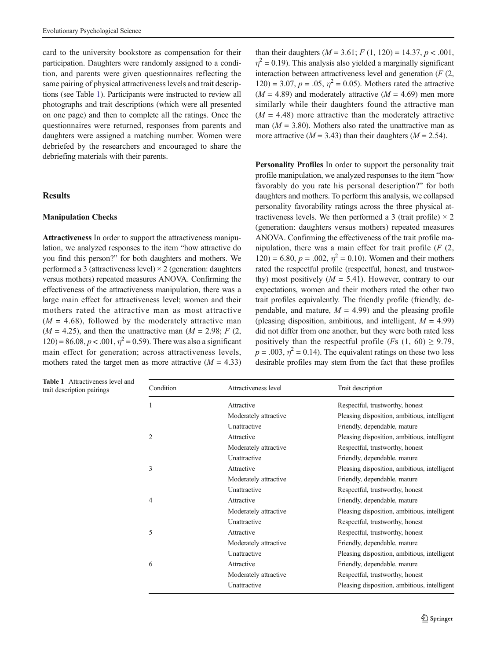<span id="page-4-0"></span>card to the university bookstore as compensation for their participation. Daughters were randomly assigned to a condition, and parents were given questionnaires reflecting the same pairing of physical attractiveness levels and trait descriptions (see Table 1). Participants were instructed to review all photographs and trait descriptions (which were all presented on one page) and then to complete all the ratings. Once the questionnaires were returned, responses from parents and daughters were assigned a matching number. Women were debriefed by the researchers and encouraged to share the debriefing materials with their parents.

# **Results**

## Manipulation Checks

Attractiveness In order to support the attractiveness manipulation, we analyzed responses to the item "how attractive do you find this person?" for both daughters and mothers. We performed a 3 (attractiveness level)  $\times$  2 (generation: daughters versus mothers) repeated measures ANOVA. Confirming the effectiveness of the attractiveness manipulation, there was a large main effect for attractiveness level; women and their mothers rated the attractive man as most attractive  $(M = 4.68)$ , followed by the moderately attractive man  $(M = 4.25)$ , and then the unattractive man  $(M = 2.98; F(2,$  $120$ ) = 86.08, p < .001,  $\eta^2$  = 0.59). There was also a significant main effect for generation; across attractiveness levels, mothers rated the target men as more attractive  $(M = 4.33)$ 

| than their daughters $(M = 3.61; F(1, 120) = 14.37, p < .001$ ,         |
|-------------------------------------------------------------------------|
| $\eta^2$ = 0.19). This analysis also yielded a marginally significant   |
| interaction between attractiveness level and generation $(F(2,$         |
| $120$ ) = 3.07, p = .05, $\eta^2$ = 0.05). Mothers rated the attractive |
| $(M = 4.89)$ and moderately attractive $(M = 4.69)$ men more            |
| similarly while their daughters found the attractive man                |
| $(M = 4.48)$ more attractive than the moderately attractive             |
| man ( $M = 3.80$ ). Mothers also rated the unattractive man as          |
| more attractive ( $M = 3.43$ ) than their daughters ( $M = 2.54$ ).     |

Personality Profiles In order to support the personality trait profile manipulation, we analyzed responses to the item "how favorably do you rate his personal description?" for both daughters and mothers. To perform this analysis, we collapsed personality favorability ratings across the three physical attractiveness levels. We then performed a 3 (trait profile)  $\times$  2 (generation: daughters versus mothers) repeated measures ANOVA. Confirming the effectiveness of the trait profile manipulation, there was a main effect for trait profile  $(F (2,$  $120$ ) = 6.80,  $p = .002$ ,  $\eta^2 = 0.10$ ). Women and their mothers rated the respectful profile (respectful, honest, and trustworthy) most positively  $(M = 5.41)$ . However, contrary to our expectations, women and their mothers rated the other two trait profiles equivalently. The friendly profile (friendly, dependable, and mature,  $M = 4.99$ ) and the pleasing profile (pleasing disposition, ambitious, and intelligent,  $M = 4.99$ ) did not differ from one another, but they were both rated less positively than the respectful profile (*Fs*  $(1, 60) \ge 9.79$ ,  $p = .003$ ,  $\eta^2 = 0.14$ ). The equivalent ratings on these two less desirable profiles may stem from the fact that these profiles

| Condition | Attractiveness level  | Trait description                            |  |  |  |
|-----------|-----------------------|----------------------------------------------|--|--|--|
|           | Attractive            | Respectful, trustworthy, honest              |  |  |  |
|           | Moderately attractive | Pleasing disposition, ambitious, intelligent |  |  |  |
|           | <b>Unattractive</b>   | Friendly, dependable, mature                 |  |  |  |
| 2         | Attractive            | Pleasing disposition, ambitious, intelligent |  |  |  |
|           | Moderately attractive | Respectful, trustworthy, honest              |  |  |  |
|           | Unattractive          | Friendly, dependable, mature                 |  |  |  |
| 3         | Attractive            | Pleasing disposition, ambitious, intelligent |  |  |  |
|           | Moderately attractive | Friendly, dependable, mature                 |  |  |  |
|           | <b>Unattractive</b>   | Respectful, trustworthy, honest              |  |  |  |
| 4         | Attractive            | Friendly, dependable, mature                 |  |  |  |
|           | Moderately attractive | Pleasing disposition, ambitious, intelligent |  |  |  |
|           | <b>Unattractive</b>   | Respectful, trustworthy, honest              |  |  |  |
| 5         | Attractive            | Respectful, trustworthy, honest              |  |  |  |
|           | Moderately attractive | Friendly, dependable, mature                 |  |  |  |
|           | Unattractive          | Pleasing disposition, ambitious, intelligent |  |  |  |
| 6         | Attractive            | Friendly, dependable, mature                 |  |  |  |
|           | Moderately attractive | Respectful, trustworthy, honest              |  |  |  |
|           | Unattractive          | Pleasing disposition, ambitious, intelligent |  |  |  |

Table 1 Attractiveness level and trait description pairings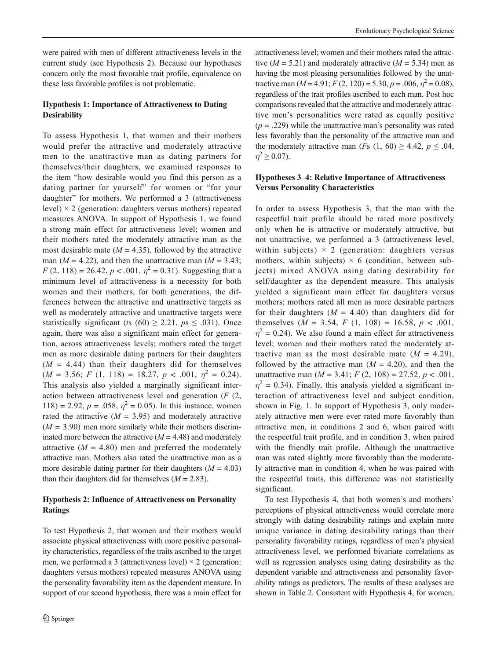were paired with men of different attractiveness levels in the current study (see Hypothesis 2). Because our hypotheses concern only the most favorable trait profile, equivalence on these less favorable profiles is not problematic.

# Hypothesis 1: Importance of Attractiveness to Dating **Desirability**

To assess Hypothesis 1, that women and their mothers would prefer the attractive and moderately attractive men to the unattractive man as dating partners for themselves/their daughters, we examined responses to the item "how desirable would you find this person as a dating partner for yourself" for women or "for your daughter" for mothers. We performed a 3 (attractiveness level)  $\times$  2 (generation: daughters versus mothers) repeated measures ANOVA. In support of Hypothesis 1, we found a strong main effect for attractiveness level; women and their mothers rated the moderately attractive man as the most desirable mate  $(M = 4.35)$ , followed by the attractive man ( $M = 4.22$ ), and then the unattractive man ( $M = 3.43$ ;  $F(2, 118) = 26.42, p < .001, \eta^2 = 0.31$ . Suggesting that a minimum level of attractiveness is a necessity for both women and their mothers, for both generations, the differences between the attractive and unattractive targets as well as moderately attractive and unattractive targets were statistically significant (ts  $(60) \ge 2.21$ ,  $ps \le .031$ ). Once again, there was also a significant main effect for generation, across attractiveness levels; mothers rated the target men as more desirable dating partners for their daughters  $(M = 4.44)$  than their daughters did for themselves  $(M = 3.56; F (1, 118) = 18.27, p < .001, \eta^2 = 0.24).$ This analysis also yielded a marginally significant interaction between attractiveness level and generation (F (2, 118) = 2.92,  $p = .058$ ,  $\eta^2 = 0.05$ ). In this instance, women rated the attractive  $(M = 3.95)$  and moderately attractive  $(M = 3.90)$  men more similarly while their mothers discriminated more between the attractive  $(M = 4.48)$  and moderately attractive  $(M = 4.80)$  men and preferred the moderately attractive man. Mothers also rated the unattractive man as a more desirable dating partner for their daughters  $(M = 4.03)$ than their daughters did for themselves  $(M = 2.83)$ .

# Hypothesis 2: Influence of Attractiveness on Personality Ratings

To test Hypothesis 2, that women and their mothers would associate physical attractiveness with more positive personality characteristics, regardless of the traits ascribed to the target men, we performed a 3 (attractiveness level)  $\times$  2 (generation: daughters versus mothers) repeated measures ANOVA using the personality favorability item as the dependent measure. In support of our second hypothesis, there was a main effect for

attractiveness level; women and their mothers rated the attractive ( $M = 5.21$ ) and moderately attractive ( $M = 5.34$ ) men as having the most pleasing personalities followed by the unattractive man  $(M = 4.91; F(2, 120) = 5.30, p = .006, \eta^2 = 0.08)$ , regardless of the trait profiles ascribed to each man. Post hoc comparisons revealed that the attractive and moderately attractive men's personalities were rated as equally positive  $(p = .229)$  while the unattractive man's personality was rated less favorably than the personality of the attractive man and the moderately attractive man (Fs (1, 60)  $\geq$  4.42,  $p \leq .04$ ,  $\eta^2 \geq 0.07$ ).

## Hypotheses 3–4: Relative Importance of Attractiveness Versus Personality Characteristics

In order to assess Hypothesis 3, that the man with the respectful trait profile should be rated more positively only when he is attractive or moderately attractive, but not unattractive, we performed a 3 (attractiveness level, within subjects)  $\times$  2 (generation: daughters versus mothers, within subjects)  $\times$  6 (condition, between subjects) mixed ANOVA using dating desirability for self/daughter as the dependent measure. This analysis yielded a significant main effect for daughters versus mothers; mothers rated all men as more desirable partners for their daughters  $(M = 4.40)$  than daughters did for themselves  $(M = 3.54, F(1, 108) = 16.58, p < .001,$  $\eta^2$  = 0.24). We also found a main effect for attractiveness level; women and their mothers rated the moderately attractive man as the most desirable mate  $(M = 4.29)$ , followed by the attractive man  $(M = 4.20)$ , and then the unattractive man  $(M = 3.41; F(2, 108) = 27.52, p < .001$ ,  $\eta^2$  = 0.34). Finally, this analysis yielded a significant interaction of attractiveness level and subject condition, shown in Fig. [1](#page-6-0). In support of Hypothesis 3, only moderately attractive men were ever rated more favorably than attractive men, in conditions 2 and 6, when paired with the respectful trait profile, and in condition 3, when paired with the friendly trait profile. Although the unattractive man was rated slightly more favorably than the moderately attractive man in condition 4, when he was paired with the respectful traits, this difference was not statistically significant.

To test Hypothesis 4, that both women's and mothers' perceptions of physical attractiveness would correlate more strongly with dating desirability ratings and explain more unique variance in dating desirability ratings than their personality favorability ratings, regardless of men's physical attractiveness level, we performed bivariate correlations as well as regression analyses using dating desirability as the dependent variable and attractiveness and personality favorability ratings as predictors. The results of these analyses are shown in Table [2.](#page-6-0) Consistent with Hypothesis 4, for women,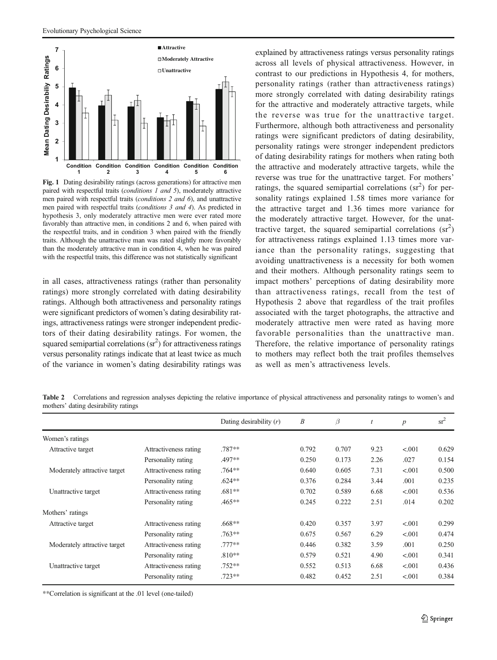<span id="page-6-0"></span>

Fig. 1 Dating desirability ratings (across generations) for attractive men paired with respectful traits (*conditions 1 and 5*), moderately attractive men paired with respectful traits (conditions 2 and 6), and unattractive men paired with respectful traits (conditions 3 and 4). As predicted in hypothesis 3, only moderately attractive men were ever rated more favorably than attractive men, in conditions 2 and 6, when paired with the respectful traits, and in condition 3 when paired with the friendly traits. Although the unattractive man was rated slightly more favorably than the moderately attractive man in condition 4, when he was paired with the respectful traits, this difference was not statistically significant

in all cases, attractiveness ratings (rather than personality ratings) more strongly correlated with dating desirability ratings. Although both attractiveness and personality ratings were significant predictors of women's dating desirability ratings, attractiveness ratings were stronger independent predictors of their dating desirability ratings. For women, the squared semipartial correlations  $(sr^2)$  for attractiveness ratings versus personality ratings indicate that at least twice as much of the variance in women's dating desirability ratings was explained by attractiveness ratings versus personality ratings across all levels of physical attractiveness. However, in contrast to our predictions in Hypothesis 4, for mothers, personality ratings (rather than attractiveness ratings) more strongly correlated with dating desirability ratings for the attractive and moderately attractive targets, while the reverse was true for the unattractive target. Furthermore, although both attractiveness and personality ratings were significant predictors of dating desirability, personality ratings were stronger independent predictors of dating desirability ratings for mothers when rating both the attractive and moderately attractive targets, while the reverse was true for the unattractive target. For mothers' ratings, the squared semipartial correlations  $(sr^2)$  for personality ratings explained 1.58 times more variance for the attractive target and 1.36 times more variance for the moderately attractive target. However, for the unattractive target, the squared semipartial correlations  $(sr^2)$ for attractiveness ratings explained 1.13 times more variance than the personality ratings, suggesting that avoiding unattractiveness is a necessity for both women and their mothers. Although personality ratings seem to impact mothers' perceptions of dating desirability more than attractiveness ratings, recall from the test of Hypothesis 2 above that regardless of the trait profiles associated with the target photographs, the attractive and moderately attractive men were rated as having more favorable personalities than the unattractive man. Therefore, the relative importance of personality ratings to mothers may reflect both the trait profiles themselves as well as men's attractiveness levels.

Table 2 Correlations and regression analyses depicting the relative importance of physical attractiveness and personality ratings to women's and mothers' dating desirability ratings

|                              |                       | Dating desirability $(r)$ | B     | β     | t    | $\boldsymbol{p}$ | $sr^2$ |
|------------------------------|-----------------------|---------------------------|-------|-------|------|------------------|--------|
| Women's ratings              |                       |                           |       |       |      |                  |        |
| Attractive target            | Attractiveness rating | .787**                    | 0.792 | 0.707 | 9.23 | < 0.001          | 0.629  |
|                              | Personality rating    | .497**                    | 0.250 | 0.173 | 2.26 | .027             | 0.154  |
| Moderately attractive target | Attractiveness rating | $.764**$                  | 0.640 | 0.605 | 7.31 | < .001           | 0.500  |
|                              | Personality rating    | $.624**$                  | 0.376 | 0.284 | 3.44 | .001             | 0.235  |
| Unattractive target          | Attractiveness rating | $.681**$                  | 0.702 | 0.589 | 6.68 | < 0.001          | 0.536  |
|                              | Personality rating    | .465**                    | 0.245 | 0.222 | 2.51 | .014             | 0.202  |
| Mothers' ratings             |                       |                           |       |       |      |                  |        |
| Attractive target            | Attractiveness rating | .668**                    | 0.420 | 0.357 | 3.97 | < 0.001          | 0.299  |
|                              | Personality rating    | $.763**$                  | 0.675 | 0.567 | 6.29 | < .001           | 0.474  |
| Moderately attractive target | Attractiveness rating | $.777**$                  | 0.446 | 0.382 | 3.59 | .001             | 0.250  |
|                              | Personality rating    | $.810**$                  | 0.579 | 0.521 | 4.90 | < 0.001          | 0.341  |
| Unattractive target          | Attractiveness rating | $.752**$                  | 0.552 | 0.513 | 6.68 | < .001           | 0.436  |
|                              | Personality rating    | $.723**$                  | 0.482 | 0.452 | 2.51 | < 0.001          | 0.384  |

\*\*Correlation is significant at the .01 level (one-tailed)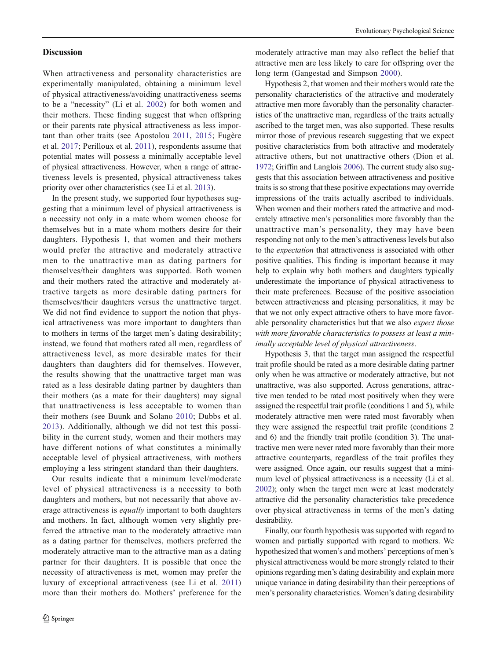#### **Discussion**

When attractiveness and personality characteristics are experimentally manipulated, obtaining a minimum level of physical attractiveness/avoiding unattractiveness seems to be a "necessity" (Li et al. [2002](#page-9-0)) for both women and their mothers. These finding suggest that when offspring or their parents rate physical attractiveness as less important than other traits (see Apostolou [2011](#page-8-0), [2015](#page-8-0); Fugère et al. [2017;](#page-9-0) Perilloux et al. [2011\)](#page-9-0), respondents assume that potential mates will possess a minimally acceptable level of physical attractiveness. However, when a range of attractiveness levels is presented, physical attractiveness takes priority over other characteristics (see Li et al. [2013\)](#page-9-0).

In the present study, we supported four hypotheses suggesting that a minimum level of physical attractiveness is a necessity not only in a mate whom women choose for themselves but in a mate whom mothers desire for their daughters. Hypothesis 1, that women and their mothers would prefer the attractive and moderately attractive men to the unattractive man as dating partners for themselves/their daughters was supported. Both women and their mothers rated the attractive and moderately attractive targets as more desirable dating partners for themselves/their daughters versus the unattractive target. We did not find evidence to support the notion that physical attractiveness was more important to daughters than to mothers in terms of the target men's dating desirability; instead, we found that mothers rated all men, regardless of attractiveness level, as more desirable mates for their daughters than daughters did for themselves. However, the results showing that the unattractive target man was rated as a less desirable dating partner by daughters than their mothers (as a mate for their daughters) may signal that unattractiveness is less acceptable to women than their mothers (see Buunk and Solano [2010](#page-8-0); Dubbs et al. [2013](#page-8-0)). Additionally, although we did not test this possibility in the current study, women and their mothers may have different notions of what constitutes a minimally acceptable level of physical attractiveness, with mothers employing a less stringent standard than their daughters.

Our results indicate that a minimum level/moderate level of physical attractiveness is a necessity to both daughters and mothers, but not necessarily that above average attractiveness is *equally* important to both daughters and mothers. In fact, although women very slightly preferred the attractive man to the moderately attractive man as a dating partner for themselves, mothers preferred the moderately attractive man to the attractive man as a dating partner for their daughters. It is possible that once the necessity of attractiveness is met, women may prefer the luxury of exceptional attractiveness (see Li et al. [2011\)](#page-9-0) more than their mothers do. Mothers' preference for the moderately attractive man may also reflect the belief that attractive men are less likely to care for offspring over the long term (Gangestad and Simpson [2000\)](#page-9-0).

Hypothesis 2, that women and their mothers would rate the personality characteristics of the attractive and moderately attractive men more favorably than the personality characteristics of the unattractive man, regardless of the traits actually ascribed to the target men, was also supported. These results mirror those of previous research suggesting that we expect positive characteristics from both attractive and moderately attractive others, but not unattractive others (Dion et al. [1972;](#page-8-0) Griffin and Langlois [2006\)](#page-9-0). The current study also suggests that this association between attractiveness and positive traits is so strong that these positive expectations may override impressions of the traits actually ascribed to individuals. When women and their mothers rated the attractive and moderately attractive men's personalities more favorably than the unattractive man's personality, they may have been responding not only to the men's attractiveness levels but also to the expectation that attractiveness is associated with other positive qualities. This finding is important because it may help to explain why both mothers and daughters typically underestimate the importance of physical attractiveness to their mate preferences. Because of the positive association between attractiveness and pleasing personalities, it may be that we not only expect attractive others to have more favorable personality characteristics but that we also expect those with more favorable characteristics to possess at least a minimally acceptable level of physical attractiveness.

Hypothesis 3, that the target man assigned the respectful trait profile should be rated as a more desirable dating partner only when he was attractive or moderately attractive, but not unattractive, was also supported. Across generations, attractive men tended to be rated most positively when they were assigned the respectful trait profile (conditions 1 and 5), while moderately attractive men were rated most favorably when they were assigned the respectful trait profile (conditions 2 and 6) and the friendly trait profile (condition 3). The unattractive men were never rated more favorably than their more attractive counterparts, regardless of the trait profiles they were assigned. Once again, our results suggest that a minimum level of physical attractiveness is a necessity (Li et al. [2002](#page-9-0)); only when the target men were at least moderately attractive did the personality characteristics take precedence over physical attractiveness in terms of the men's dating desirability.

Finally, our fourth hypothesis was supported with regard to women and partially supported with regard to mothers. We hypothesized that women's and mothers' perceptions of men's physical attractiveness would be more strongly related to their opinions regarding men's dating desirability and explain more unique variance in dating desirability than their perceptions of men's personality characteristics. Women's dating desirability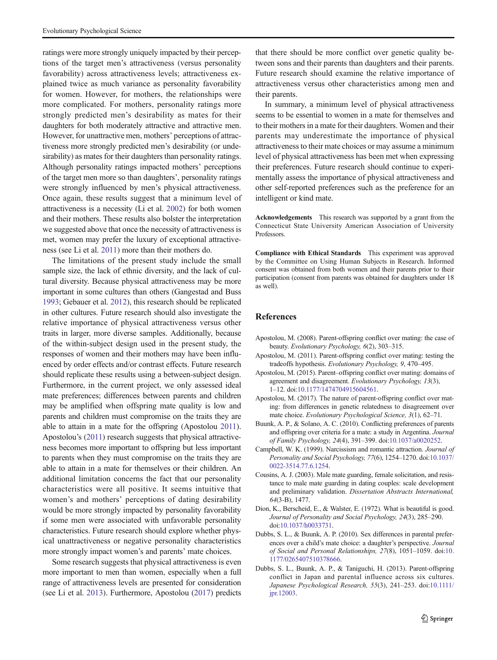<span id="page-8-0"></span>ratings were more strongly uniquely impacted by their perceptions of the target men's attractiveness (versus personality favorability) across attractiveness levels; attractiveness explained twice as much variance as personality favorability for women. However, for mothers, the relationships were more complicated. For mothers, personality ratings more strongly predicted men's desirability as mates for their daughters for both moderately attractive and attractive men. However, for unattractive men, mothers' perceptions of attractiveness more strongly predicted men's desirability (or undesirability) as mates for their daughters than personality ratings. Although personality ratings impacted mothers' perceptions of the target men more so than daughters', personality ratings were strongly influenced by men's physical attractiveness. Once again, these results suggest that a minimum level of attractiveness is a necessity (Li et al. [2002](#page-9-0)) for both women and their mothers. These results also bolster the interpretation we suggested above that once the necessity of attractiveness is met, women may prefer the luxury of exceptional attractiveness (see Li et al. [2011](#page-9-0)) more than their mothers do.

The limitations of the present study include the small sample size, the lack of ethnic diversity, and the lack of cultural diversity. Because physical attractiveness may be more important in some cultures than others (Gangestad and Buss [1993;](#page-9-0) Gebauer et al. [2012\)](#page-9-0), this research should be replicated in other cultures. Future research should also investigate the relative importance of physical attractiveness versus other traits in larger, more diverse samples. Additionally, because of the within-subject design used in the present study, the responses of women and their mothers may have been influenced by order effects and/or contrast effects. Future research should replicate these results using a between-subject design. Furthermore, in the current project, we only assessed ideal mate preferences; differences between parents and children may be amplified when offspring mate quality is low and parents and children must compromise on the traits they are able to attain in a mate for the offspring (Apostolou 2011). Apostolou's (2011) research suggests that physical attractiveness becomes more important to offspring but less important to parents when they must compromise on the traits they are able to attain in a mate for themselves or their children. An additional limitation concerns the fact that our personality characteristics were all positive. It seems intuitive that women's and mothers' perceptions of dating desirability would be more strongly impacted by personality favorability if some men were associated with unfavorable personality characteristics. Future research should explore whether physical unattractiveness or negative personality characteristics more strongly impact women's and parents' mate choices.

Some research suggests that physical attractiveness is even more important to men than women, especially when a full range of attractiveness levels are presented for consideration (see Li et al. [2013](#page-9-0)). Furthermore, Apostolou (2017) predicts

that there should be more conflict over genetic quality between sons and their parents than daughters and their parents. Future research should examine the relative importance of attractiveness versus other characteristics among men and their parents.

In summary, a minimum level of physical attractiveness seems to be essential to women in a mate for themselves and to their mothers in a mate for their daughters. Women and their parents may underestimate the importance of physical attractiveness to their mate choices or may assume a minimum level of physical attractiveness has been met when expressing their preferences. Future research should continue to experimentally assess the importance of physical attractiveness and other self-reported preferences such as the preference for an intelligent or kind mate.

Acknowledgements This research was supported by a grant from the Connecticut State University American Association of University Professors.

Compliance with Ethical Standards This experiment was approved by the Committee on Using Human Subjects in Research. Informed consent was obtained from both women and their parents prior to their participation (consent from parents was obtained for daughters under 18 as well).

### **References**

- Apostolou, M. (2008). Parent-offspring conflict over mating: the case of beauty. Evolutionary Psychology, 6(2), 303–315.
- Apostolou, M. (2011). Parent-offspring conflict over mating: testing the tradeoffs hypothesis. Evolutionary Psychology, 9, 470–495.
- Apostolou, M. (2015). Parent–offspring conflict over mating: domains of agreement and disagreement. Evolutionary Psychology, 13(3), 1–12. doi:[10.1177/1474704915604561.](http://dx.doi.org/10.1177/1474704915604561)
- Apostolou, M. (2017). The nature of parent-offspring conflict over mating: from differences in genetic relatedness to disagreement over mate choice. Evolutionary Psychological Science, 3(1), 62–71.
- Buunk, A. P., & Solano, A. C. (2010). Conflicting preferences of parents and offspring over criteria for a mate: a study in Argentina. Journal of Family Psychology, 24(4), 391–399. doi:[10.1037/a0020252](http://dx.doi.org/10.1037/a0020252).
- Campbell, W. K. (1999). Narcissism and romantic attraction. Journal of Personality and Social Psychology, 77(6), 1254–1270. doi[:10.1037/](http://dx.doi.org/10.1037/0022-3514.77.6.1254) [0022-3514.77.6.1254.](http://dx.doi.org/10.1037/0022-3514.77.6.1254)
- Cousins, A. J. (2003). Male mate guarding, female solicitation, and resistance to male mate guarding in dating couples: scale development and preliminary validation. Dissertation Abstracts International, 64(3-B), 1477.
- Dion, K., Berscheid, E., & Walster, E. (1972). What is beautiful is good. Journal of Personality and Social Psychology, 24(3), 285–290. doi:[10.1037/h0033731.](http://dx.doi.org/10.1037/h0033731)
- Dubbs, S. L., & Buunk, A. P. (2010). Sex differences in parental preferences over a child's mate choice: a daughter's perspective. Journal of Social and Personal Relationships, 27(8), 1051–1059. doi:[10.](http://dx.doi.org/10.1177/0265407510378666) [1177/0265407510378666.](http://dx.doi.org/10.1177/0265407510378666)
- Dubbs, S. L., Buunk, A. P., & Taniguchi, H. (2013). Parent-offspring conflict in Japan and parental influence across six cultures. Japanese Psychological Research, 55(3), 241–253. doi[:10.1111/](http://dx.doi.org/10.1111/jpr.12003) [jpr.12003](http://dx.doi.org/10.1111/jpr.12003).